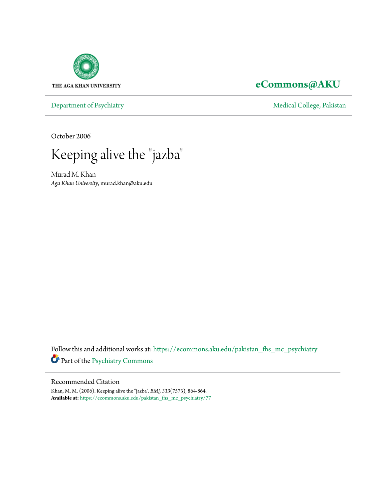

## **[eCommons@AKU](https://ecommons.aku.edu?utm_source=ecommons.aku.edu%2Fpakistan_fhs_mc_psychiatry%2F77&utm_medium=PDF&utm_campaign=PDFCoverPages)**

[Department of Psychiatry](https://ecommons.aku.edu/pakistan_fhs_mc_psychiatry?utm_source=ecommons.aku.edu%2Fpakistan_fhs_mc_psychiatry%2F77&utm_medium=PDF&utm_campaign=PDFCoverPages) and Theorem and Theorem and [Medical College, Pakistan](https://ecommons.aku.edu/pakistan_fhs_mc?utm_source=ecommons.aku.edu%2Fpakistan_fhs_mc_psychiatry%2F77&utm_medium=PDF&utm_campaign=PDFCoverPages)

October 2006

Keeping alive the "jazba "

Murad M. Khan *Aga Khan University*, murad.khan@aku.edu

Follow this and additional works at: [https://ecommons.aku.edu/pakistan\\_fhs\\_mc\\_psychiatry](https://ecommons.aku.edu/pakistan_fhs_mc_psychiatry?utm_source=ecommons.aku.edu%2Fpakistan_fhs_mc_psychiatry%2F77&utm_medium=PDF&utm_campaign=PDFCoverPages) Part of the [Psychiatry Commons](http://network.bepress.com/hgg/discipline/704?utm_source=ecommons.aku.edu%2Fpakistan_fhs_mc_psychiatry%2F77&utm_medium=PDF&utm_campaign=PDFCoverPages)

## Recommended Citation

Khan, M. M. (2006). Keeping alive the "jazba". *BMJ, 333*(7573), 864-864. **Available at:** [https://ecommons.aku.edu/pakistan\\_fhs\\_mc\\_psychiatry/77](https://ecommons.aku.edu/pakistan_fhs_mc_psychiatry/77)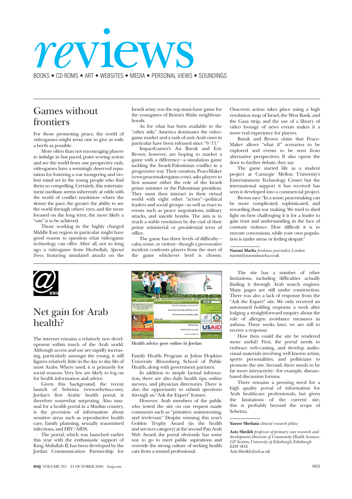# *ROOKS • CD ROMS • ART • WEBSITES • MEDIA • PERSONAL VIEWS •*

BOOKS • CD ROMS • ART • WEBSITES • MEDIA • PERSONAL VIEWS • SOUNDINGS

## Games without frontiers

For those promoting peace, the world of videogames might seem one to give as wide a berth as possible.

More often than not encouraging players to indulge in fast paced, point scoring action and see the world from one perspective only, videogames have a seemingly deserved reputation for fostering a war mongering and violent mind set in the young people who find them so compelling. Certainly, this entertainment medium seems inherently at odds with the world of conflict resolution—where the slower the pace, the greater the ability to see the world through others' eyes, and the more focused on the long term, the more likely a "win" is to be achieved.

Those working in the highly charged Middle East region in particular might have good reason to question what videogame technology can offer. After all, not so long ago a videogame from Hezbollah, *Special Force*, featuring simulated attacks on the



## Net gain for Arab health?

The internet remains a relatively new development within much of the Arab world. Although access and use are rapidly increasing, particularly amongst the young, it still figures relatively little in the day to day life of most Arabs. Where used, it is primarily for social reasons. Very few are likely to log on for health information and advice.

Given this background, the recent launch of Sehetna (www.sehetna.com), Jordan's first Arabic health portal, is therefore somewhat surprising. Also unusual for a health portal in a Muslim country, is the provision of information about sensitive areas such as reproductive health care, family planning, sexually transmitted infections, and HIV/AIDS.

The portal, which was launched earlier this year with the enthusiastic support of King Abdullah II, has been developed by the Jordan Communication Partnership for Israeli army, was the top must-have game for the youngsters of Beirut's Shiite neighbourhoods.

As for what has been available to the "other side," America dominates the videogame market and a rash of anti-Arab ones in particular have been released since "9/11."

ImpactGames's Asi Burak and Eric Brown, however, are hoping to market a game with a difference—a simulation game tackling the Israeli-Palestinian conflict in a progressive way. Their creation, PeaceMaker (www.peacemakergame.com), asks players to first assume either the role of the Israeli prime minister or the Palestinian president. They must then interact in their virtual world with eight other "actors"—political leaders and social groups—as well as react to events such as peace negotiations, military attacks, and suicide bombs. The aim is to reach a stable resolution by the end of their prime ministerial or presidential term of office.

The game has three levels of difficulty calm, tense, or violent—though a provocative incident confronts players from the start of the game whichever level is chosen.

Onscreen action takes place using a high resolution map of Israel, the West Bank, and the Gaza strip, and the use of a library of video footage of news events makes it a more real experience for players.

Burak and Brown claim that Peace-Maker allows "what if" scenarios to be explored and events to be seen from alternative perspectives. It also opens the door to further debate, they say.

The game started life as a student project at Carnegie Mellon University's Entertainment Technology Center but the international support it has received has seen it developed into a commercial project.

Brown says: "In a sense, peacemaking can be more complicated, sophisticated, and rewarding than war making. We tried to shed light on how challenging it is for a leader to gain trust and understanding in the face of constant violence. How difficult it is to execute concessions, while your own population is under stress or feeling despair."

**Naomi Marks** *freelance journalist, London* naomi@naomimarks.co.uk



**Health advice goes online in Jordan**

Family Health Program at Johns Hopkins University Bloomberg School of Public Health, along with government partners.

In addition to simple factual information, there are also daily health tips, online surveys, and physician directories. There is also the opportunity to submit questions through an "Ask the Expert" feature.

However, Arab members of the public who tested the site on our request made comments such as "primitive, uninteresting, and irrelevant." Despite winning this year's Golden Trophy Award (in the health and services category) at the second Pan Arab Web Award, the portal obviously has some way to go to meet public aspirations and override the strong culture of seeking health care from a trusted professional.

The site has a number of other limitations, including difficulties actually finding it through Arab search engines. Many pages are still under construction. There was also a lack of response from the "Ask the Expert" site. We only received an automated holding response a week after lodging a straightforward enquiry about the role of allergen avoidance measures in asthma. Three weeks later, we are still to receive a response.

How then could the site be rendered more useful? First, the portal needs to embrace web-casting, and develop audiovisual materials involving well known artists, sports personalities, and politicians to promote the site. Second, there needs to be far more interactivity—for example, diseasebased discussion forums.

There remains a pressing need for a high quality portal of information for Arab healthcare professionals, but given the limitations of the current site, this is probably beyond the scope of Sehetna.

#### **Yasser Shehata** *clinical research fellow*

**Aziz Sheikh** *professor of primary care research and development, Division of Community Health Sciences: GP Section, University of Edinburgh, Edinburgh EH8 9DX* Aziz.Sheikh@ed.ac.uk

**BMJ** VOLUME 333 21 OCTOBER 2006 bmj.com 863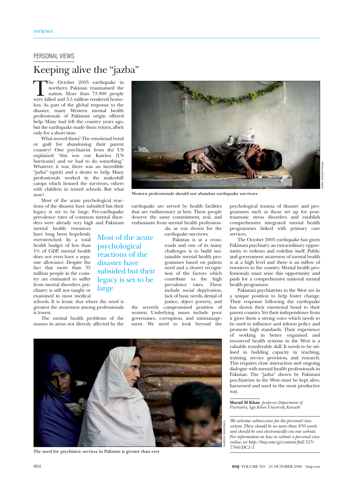## PERSONAL VIEWS

# Keeping alive the "jazba"

The October 2005 earthquake in<br>northern Pakistan traumatised the<br>nation. More than 73 000 people<br>were killed and 3.5 million rendered homenorthern Pakistan traumatised the nation. More than 73 000 people less. As part of the global response to the disaster, many Western mental health professionals of Pakistani origin offered help. Many had left the country years ago, but the earthquake made them return, albeit only for a short time.

What moved them? The emotional bond or guilt for abandoning their parent country? One psychiatrist from the US explained "this was our Katrina [US hurricane] and we had to do something." Whatever it was, there was an incredible "jazba" (spirit) and a desire to help. Many professionals worked in the makeshift camps which housed the survivors, others with children in tented schools. But what now?

Most of the acute psychological reactions of the disaster have subsided but their legacy is set to be large. Pre-earthquake prevalence rates of common mental disorders were already very high and Pakistani

mental health resources have long been hopelessly overstretched. In a total health budget of less than 1% of GDP, mental health does not even have a separate allowance. Despite the fact that more than 35 million people in the country are estimated to suffer from mental disorders, psychiatry is still not taught or examined in most medical

schools. It is ironic that where the need is greatest the awareness among professionals is lowest.

large

The mental health problems of the masses in areas not directly affected by the



**Western professionals should not abandon earthquake survivors**

earthquake are served by health facilities that are rudimentary at best. These people deserve the same commitment, zeal, and enthusiasm from mental health profession-

> als, as was shown for the earthquake survivors.

Pakistan is at a crossroads and one of its many challenges is to build sustainable mental health programmes based on patient need and a clearer recognition of the factors which contribute to the high prevalence rates. These include social deprivation, lack of basic needs, denial of justice, abject poverty, and

the severely compromised position of women. Underlying issues include poor governance, corruption, and mismanagement. We need to look beyond the



Most of the acute psychological reactions of the disaster have subsided but their legacy is set to be

**The need for psychiatric services in Pakistan is greater than ever**

psychological trauma of disaster and programmes such as those set up for posttraumatic stress disorders and establish comprehensive integrated mental health programmes linked with primary care services.

The October 2005 earthquake has given Pakistani psychiatry an extraordinary opportunity to redeem and redefine itself. Public and government awareness of mental health is at a high level and there is an inflow of resources to the country. Mental health professionals must seize this opportunity and push for a comprehensive national mental health programme.

Pakistani psychiatrists in the West are in a unique position to help foster change. Their response following the earthquake has shown their emotional bond to their parent country. Yet their independence from it gives them a strong voice which needs to be used to influence and inform policy and promote high standards. Their experience of working in better organised and resourced health systems in the West is a valuable transferable skill. It needs to be utilised in building capacity in teaching, training, service provision, and research. This requires close interaction and ongoing dialogue with mental health professionals in Pakistan. The "jazba" shown by Pakistani psychiatrists in the West must be kept alive, harnessed and used in the most productive way.

#### **Murad M Khan** *professor, Department of Psychiatry, Aga Khan University, Karachi*

*We welcome submissions for the personal view section. These should be no more than 850 words and should be sent electronically via our website. For information on how to submit a personal view online, see http://bmj.com/cgi/content/full/325/ 7360/DC1/1*